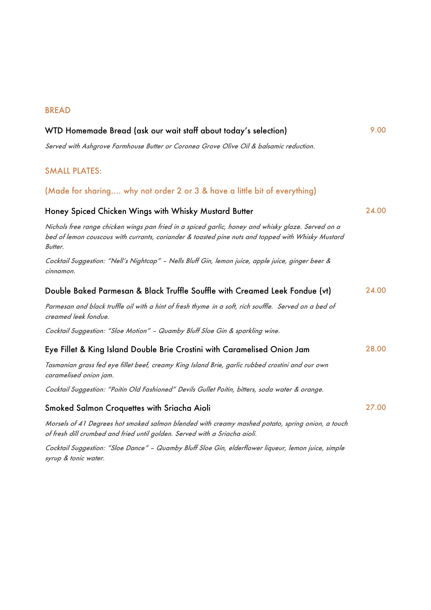## BREAD

| WTD Homemade Bread (ask our wait staff about today's selection)                                                                                                                                                           |       |
|---------------------------------------------------------------------------------------------------------------------------------------------------------------------------------------------------------------------------|-------|
| Served with Ashgrove Farmhouse Butter or Coronea Grove Olive Oil & balsamic reduction.                                                                                                                                    |       |
| <b>SMALL PLATES:</b>                                                                                                                                                                                                      |       |
| (Made for sharing why not order 2 or 3 & have a little bit of everything)                                                                                                                                                 |       |
| Honey Spiced Chicken Wings with Whisky Mustard Butter                                                                                                                                                                     | 24.00 |
| Nichols free range chicken wings pan fried in a spiced garlic, honey and whisky glaze. Served on a<br>bed of lemon couscous with currants, coriander & toasted pine nuts and topped with Whisky Mustard<br><b>Butter.</b> |       |
| Cocktail Suggestion: "Nell's Nightcap" - Nells Bluff Gin, lemon juice, apple juice, ginger beer &<br>cinnamon.                                                                                                            |       |
| Double Baked Parmesan & Black Truffle Souffle with Creamed Leek Fondue (vt)                                                                                                                                               | 24.00 |
| Parmesan and black truffle oil with a hint of fresh thyme in a soft, rich souffle. Served on a bed of<br>creamed leek fondue.                                                                                             |       |
| Cocktail Suggestion: "Sloe Motion" - Quamby Bluff Sloe Gin & sparkling wine.                                                                                                                                              |       |
| Eye Fillet & King Island Double Brie Crostini with Caramelised Onion Jam                                                                                                                                                  | 28.00 |
| Tasmanian grass fed eye fillet beef, creamy King Island Brie, garlic rubbed crostini and our own<br>caramelised onion jam.                                                                                                |       |
| Cocktail Suggestion: "Poitin Old Fashioned" Devils Gullet Poitin, bitters, soda water & orange.                                                                                                                           |       |
| Smoked Salmon Croquettes with Sriacha Aioli                                                                                                                                                                               | 27.00 |
| Morsels of 41 Degrees hot smoked salmon blended with creamy mashed potato, spring onion, a touch<br>of fresh dill crumbed and fried until golden. Served with a Sriacha aioli.                                            |       |
| Cocktail Suggestion: "Sloe Dance" - Quamby Bluff Sloe Gin, elderflower liqueur, Jemon iuice, simple                                                                                                                       |       |

Cocktail Suggestion: "Sloe Dance" – Quamby Bluff Sloe Gin, elderflower liqueur, lemon juice, simple syrup & tonic water.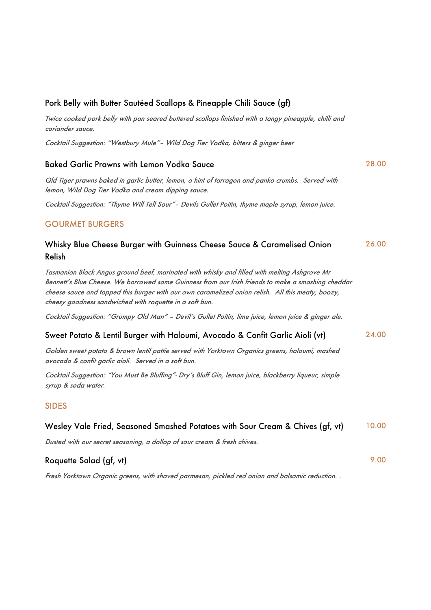| Pork Belly with Butter Sautéed Scallops & Pineapple Chili Sauce (gf)                                                                                                                                                                                                                                                                                               |       |
|--------------------------------------------------------------------------------------------------------------------------------------------------------------------------------------------------------------------------------------------------------------------------------------------------------------------------------------------------------------------|-------|
| Twice cooked pork belly with pan seared buttered scallops finished with a tangy pineapple, chilli and<br>coriander sauce.                                                                                                                                                                                                                                          |       |
| Cocktail Suggestion: "Westbury Mule"- Wild Dog Tier Vodka, bitters & ginger beer                                                                                                                                                                                                                                                                                   |       |
| <b>Baked Garlic Prawns with Lemon Vodka Sauce</b>                                                                                                                                                                                                                                                                                                                  | 28.00 |
| Qld Tiger prawns baked in garlic butter, lemon, a hint of tarragon and panko crumbs. Served with<br>lemon, Wild Dog Tier Vodka and cream dipping sauce.                                                                                                                                                                                                            |       |
| Cocktail Suggestion: "Thyme Will Tell Sour"- Devils Gullet Poitin, thyme maple syrup, lemon juice.                                                                                                                                                                                                                                                                 |       |
| <b>GOURMET BURGERS</b>                                                                                                                                                                                                                                                                                                                                             |       |
| Whisky Blue Cheese Burger with Guinness Cheese Sauce & Caramelised Onion<br>Relish                                                                                                                                                                                                                                                                                 | 26.00 |
| Tasmanian Black Angus ground beef, marinated with whisky and filled with melting Ashgrove Mr<br>Bennett's Blue Cheese. We borrowed some Guinness from our Irish friends to make a smashing cheddar<br>cheese sauce and topped this burger with our own caramelized onion relish. All this meaty, boozy,<br>cheesy goodness sandwiched with roquette in a soft bun. |       |
| Cocktail Suggestion: "Grumpy Old Man" - Devil's Gullet Poitin, lime juice, lemon juice & ginger ale.                                                                                                                                                                                                                                                               |       |
| Sweet Potato & Lentil Burger with Haloumi, Avocado & Confit Garlic Aioli (vt)                                                                                                                                                                                                                                                                                      | 24.00 |
| Golden sweet potato & brown lentil pattie served with Yorktown Organics greens, haloumi, mashed<br>avocado & confit garlic aioli. Served in a soft bun.                                                                                                                                                                                                            |       |
| Cocktail Suggestion: "You Must Be Bluffing"- Dry's Bluff Gin, lemon juice, blackberry liqueur, simple<br>syrup & soda water.                                                                                                                                                                                                                                       |       |
| <b>SIDES</b>                                                                                                                                                                                                                                                                                                                                                       |       |
| Wesley Vale Fried, Seasoned Smashed Potatoes with Sour Cream & Chives (gf, vt)                                                                                                                                                                                                                                                                                     | 10.00 |
| Dusted with our secret seasoning, a dollop of sour cream & fresh chives.                                                                                                                                                                                                                                                                                           |       |
| Roquette Salad (gf, vt)                                                                                                                                                                                                                                                                                                                                            | 9.00  |

Fresh Yorktown Organic greens, with shaved parmesan, pickled red onion and balsamic reduction. .